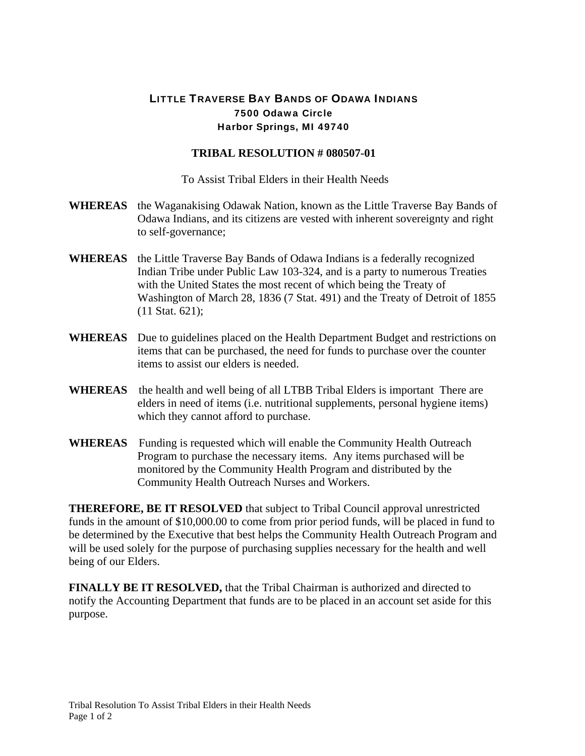## LITTLE TRAVERSE BAY BANDS OF ODAWA INDIANS 7500 Odawa Circle Harbor Springs, MI 49740

## **TRIBAL RESOLUTION # 080507-01**

To Assist Tribal Elders in their Health Needs

- **WHEREAS** the Waganakising Odawak Nation, known as the Little Traverse Bay Bands of Odawa Indians, and its citizens are vested with inherent sovereignty and right to self-governance;
- **WHEREAS** the Little Traverse Bay Bands of Odawa Indians is a federally recognized Indian Tribe under Public Law 103-324, and is a party to numerous Treaties with the United States the most recent of which being the Treaty of Washington of March 28, 1836 (7 Stat. 491) and the Treaty of Detroit of 1855 (11 Stat. 621);
- **WHEREAS** Due to guidelines placed on the Health Department Budget and restrictions on items that can be purchased, the need for funds to purchase over the counter items to assist our elders is needed.
- **WHEREAS** the health and well being of all LTBB Tribal Elders is important There are elders in need of items (i.e. nutritional supplements, personal hygiene items) which they cannot afford to purchase.
- **WHEREAS** Funding is requested which will enable the Community Health Outreach Program to purchase the necessary items. Any items purchased will be monitored by the Community Health Program and distributed by the Community Health Outreach Nurses and Workers.

**THEREFORE, BE IT RESOLVED** that subject to Tribal Council approval unrestricted funds in the amount of \$10,000.00 to come from prior period funds, will be placed in fund to be determined by the Executive that best helps the Community Health Outreach Program and will be used solely for the purpose of purchasing supplies necessary for the health and well being of our Elders.

**FINALLY BE IT RESOLVED,** that the Tribal Chairman is authorized and directed to notify the Accounting Department that funds are to be placed in an account set aside for this purpose.